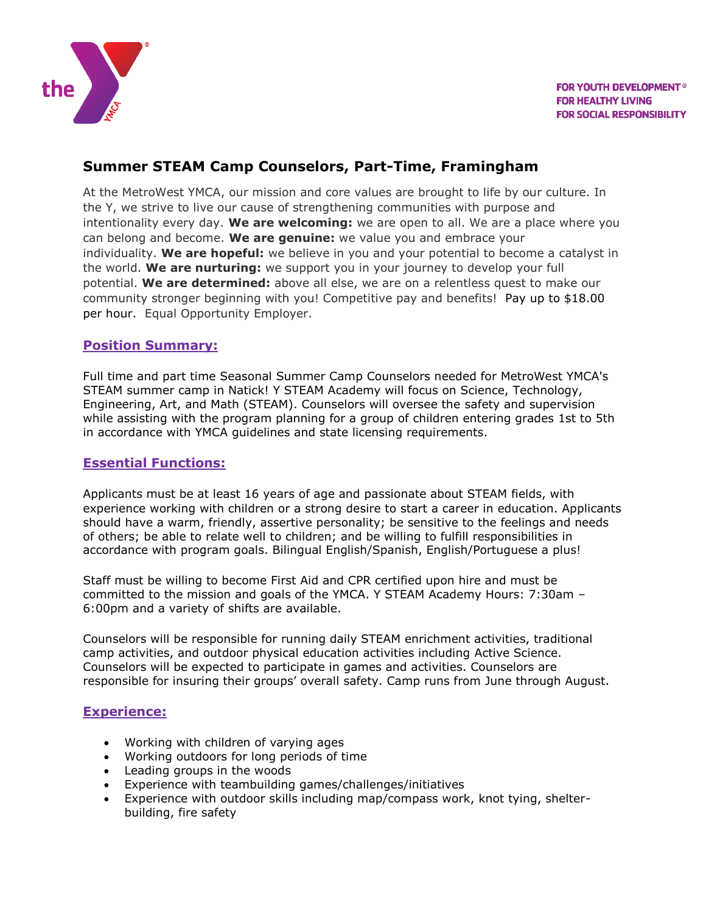

## **Summer STEAM Camp Counselors, Part-Time, Framingham**

At the MetroWest YMCA, our mission and core values are brought to life by our culture. In the Y, we strive to live our cause of strengthening communities with purpose and intentionality every day. **We are welcoming:** we are open to all. We are a place where you can belong and become. **We are genuine:** we value you and embrace your individuality. **We are hopeful:** we believe in you and your potential to become a catalyst in the world. **We are nurturing:** we support you in your journey to develop your full potential. **We are determined:** above all else, we are on a relentless quest to make our community stronger beginning with you! Competitive pay and benefits! Pay up to \$18.00 per hour. Equal Opportunity Employer.

#### **Position Summary:**

Full time and part time Seasonal Summer Camp Counselors needed for MetroWest YMCA's STEAM summer camp in Natick! Y STEAM Academy will focus on Science, Technology, Engineering, Art, and Math (STEAM). Counselors will oversee the safety and supervision while assisting with the program planning for a group of children entering grades 1st to 5th in accordance with YMCA guidelines and state licensing requirements.

#### **Essential Functions:**

Applicants must be at least 16 years of age and passionate about STEAM fields, with experience working with children or a strong desire to start a career in education. Applicants should have a warm, friendly, assertive personality; be sensitive to the feelings and needs of others; be able to relate well to children; and be willing to fulfill responsibilities in accordance with program goals. Bilingual English/Spanish, English/Portuguese a plus!

Staff must be willing to become First Aid and CPR certified upon hire and must be committed to the mission and goals of the YMCA. Y STEAM Academy Hours: 7:30am – 6:00pm and a variety of shifts are available.

Counselors will be responsible for running daily STEAM enrichment activities, traditional camp activities, and outdoor physical education activities including Active Science. Counselors will be expected to participate in games and activities. Counselors are responsible for insuring their groups' overall safety. Camp runs from June through August.

#### **Experience:**

- Working with children of varying ages
- Working outdoors for long periods of time
- Leading groups in the woods
- Experience with teambuilding games/challenges/initiatives
- Experience with outdoor skills including map/compass work, knot tying, shelterbuilding, fire safety